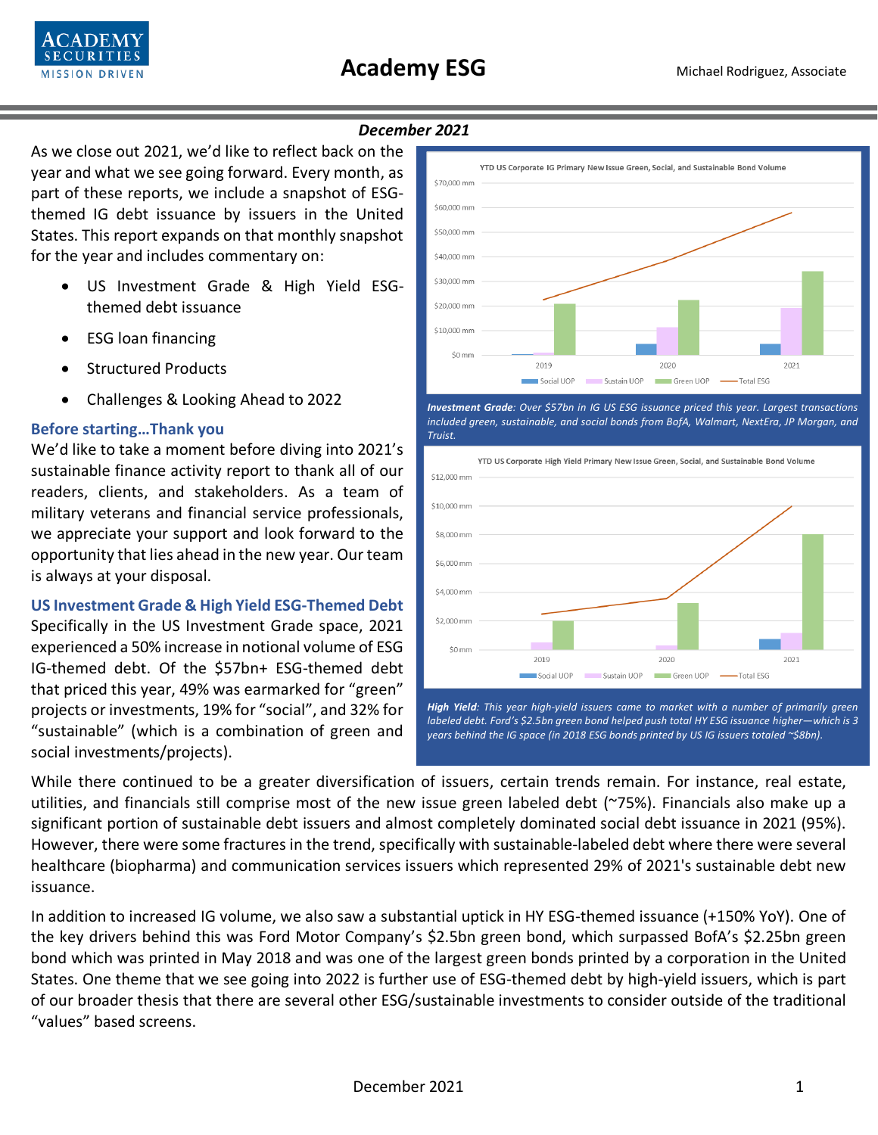

## *December 2021*

As we close out 2021, we'd like to reflect back on the year and what we see going forward. Every month, as part of these reports, we include a snapshot of ESGthemed IG debt issuance by issuers in the United States. This report expands on that monthly snapshot for the year and includes commentary on:

- US Investment Grade & High Yield ESGthemed debt issuance
- ESG loan financing
- Structured Products
- Challenges & Looking Ahead to 2022

## **Before starting…Thank you**

We'd like to take a moment before diving into 2021's sustainable finance activity report to thank all of our readers, clients, and stakeholders. As a team of military veterans and financial service professionals, we appreciate your support and look forward to the opportunity that lies ahead in the new year. Our team is always at your disposal.

**US Investment Grade & High Yield ESG-Themed Debt** Specifically in the US Investment Grade space, 2021 experienced a 50% increase in notional volume of ESG IG-themed debt. Of the \$57bn+ ESG-themed debt that priced this year, 49% was earmarked for "green" projects or investments, 19% for "social", and 32% for "sustainable" (which is a combination of green and social investments/projects).



*Investment Grade: Over \$57bn in IG US ESG issuance priced this year. Largest transactions included green, sustainable, and social bonds from BofA, Walmart, NextEra, JP Morgan, and Truist.* 



While there continued to be a greater diversification of issuers, certain trends remain. For instance, real estate, utilities, and financials still comprise most of the new issue green labeled debt (~75%). Financials also make up a significant portion of sustainable debt issuers and almost completely dominated social debt issuance in 2021 (95%). However, there were some fractures in the trend, specifically with sustainable-labeled debt where there were several healthcare (biopharma) and communication services issuers which represented 29% of 2021's sustainable debt new issuance.

In addition to increased IG volume, we also saw a substantial uptick in HY ESG-themed issuance (+150% YoY). One of the key drivers behind this was Ford Motor Company's \$2.5bn green bond, which surpassed BofA's \$2.25bn green bond which was printed in May 2018 and was one of the largest green bonds printed by a corporation in the United States. One theme that we see going into 2022 is further use of ESG-themed debt by high-yield issuers, which is part of our broader thesis that there are several other ESG/sustainable investments to consider outside of the traditional "values" based screens.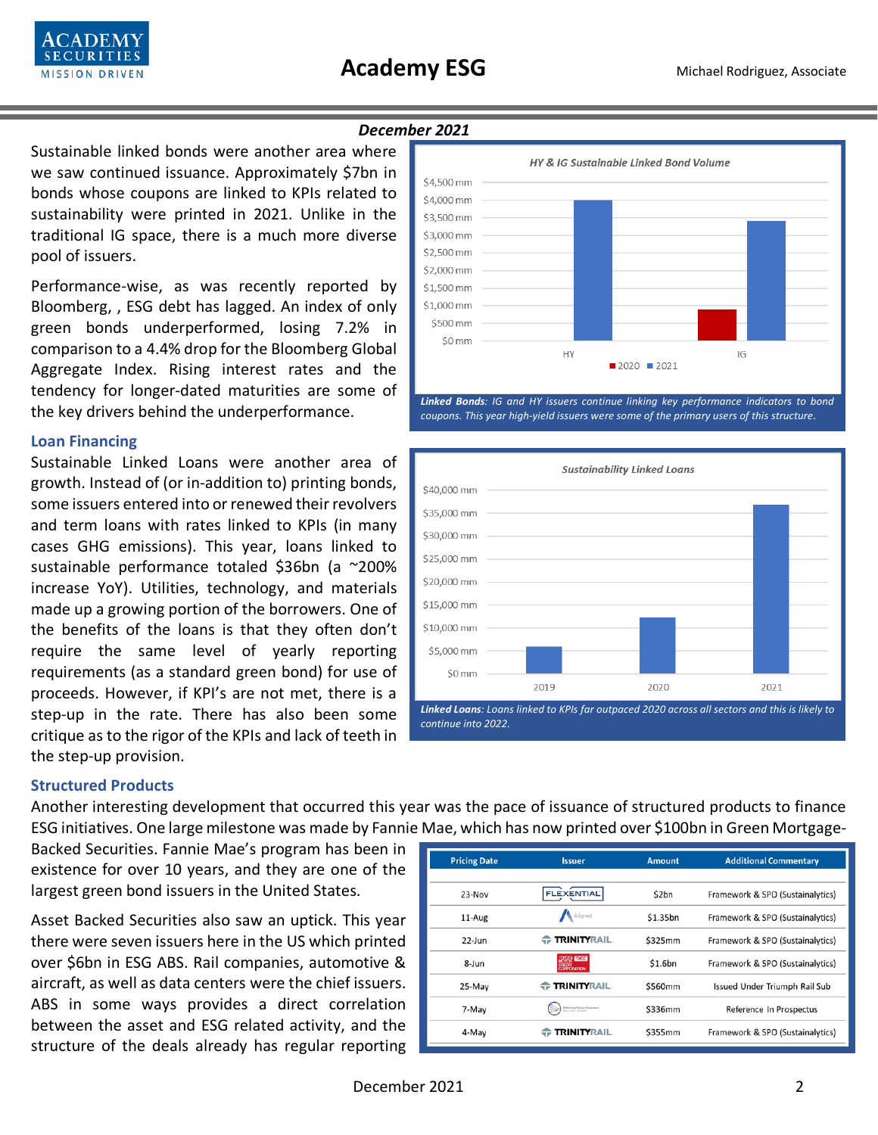

#### *December 2021*

Sustainable linked bonds were another area where we saw continued issuance. Approximately \$7bn in bonds whose coupons are linked to KPIs related to sustainability were printed in 2021. Unlike in the traditional IG space, there is a much more diverse pool of issuers.

Performance-wise, as was recently reported by Bloomberg, , ESG debt has lagged. An index of only green bonds underperformed, losing 7.2% in comparison to a 4.4% drop for the Bloomberg Global Aggregate Index. Rising interest rates and the tendency for longer-dated maturities are some of the key drivers behind the underperformance.

#### **Loan Financing**

Sustainable Linked Loans were another area of growth. Instead of (or in-addition to) printing bonds, some issuers entered into or renewed their revolvers and term loans with rates linked to KPIs (in many cases GHG emissions). This year, loans linked to sustainable performance totaled \$36bn (a ~200% increase YoY). Utilities, technology, and materials made up a growing portion of the borrowers. One of the benefits of the loans is that they often don't require the same level of yearly reporting requirements (as a standard green bond) for use of proceeds. However, if KPI's are not met, there is a step-up in the rate. There has also been some critique as to the rigor of the KPIs and lack of teeth in the step-up provision.



*Linked Bonds: IG and HY issuers continue linking key performance indicators to bond coupons. This year high-yield issuers were some of the primary users of this structure.* 



#### **Structured Products**

Another interesting development that occurred this year was the pace of issuance of structured products to finance ESG initiatives. One large milestone was made by Fannie Mae, which has now printed over \$100bn in Green Mortgage-

Backed Securities. Fannie Mae's program has been in existence for over 10 years, and they are one of the largest green bond issuers in the United States.

Asset Backed Securities also saw an uptick. This year there were seven issuers here in the US which printed over \$6bn in ESG ABS. Rail companies, automotive & aircraft, as well as data centers were the chief issuers. ABS in some ways provides a direct correlation between the asset and ESG related activity, and the structure of the deals already has regular reporting

| <b>Pricing Date</b> | <b>Issuer</b>                                | <b>Amount</b> | <b>Additional Commentary</b>     |
|---------------------|----------------------------------------------|---------------|----------------------------------|
|                     |                                              |               |                                  |
| $23-Nov$            | <b>FLEXENTIAL</b>                            | \$2bn         | Framework & SPO (Sustainalytics) |
| 11-Aug              | Aligned                                      | \$1.35bn      | Framework & SPO (Sustainalytics) |
| $22$ -Jun           | <b>TRINITYRAIL</b>                           | \$325mm       | Framework & SPO (Sustainalytics) |
| 8-Jun               | TOYOTA <b>HATGH</b><br>CREDIT<br>CORPORATION | \$1.6bn       | Framework & SPO (Sustainalytics) |
| 25-May              | <b>TRINITYRAIL</b>                           | \$560mm       | Issued Under Triumph Rail Sub    |
| 7-May               | Willis Lease Finance Corporation             | \$336mm       | Reference In Prospectus          |
| 4-May               | <b>TRINITYRAIL.</b>                          | \$355mm       | Framework & SPO (Sustainalytics) |